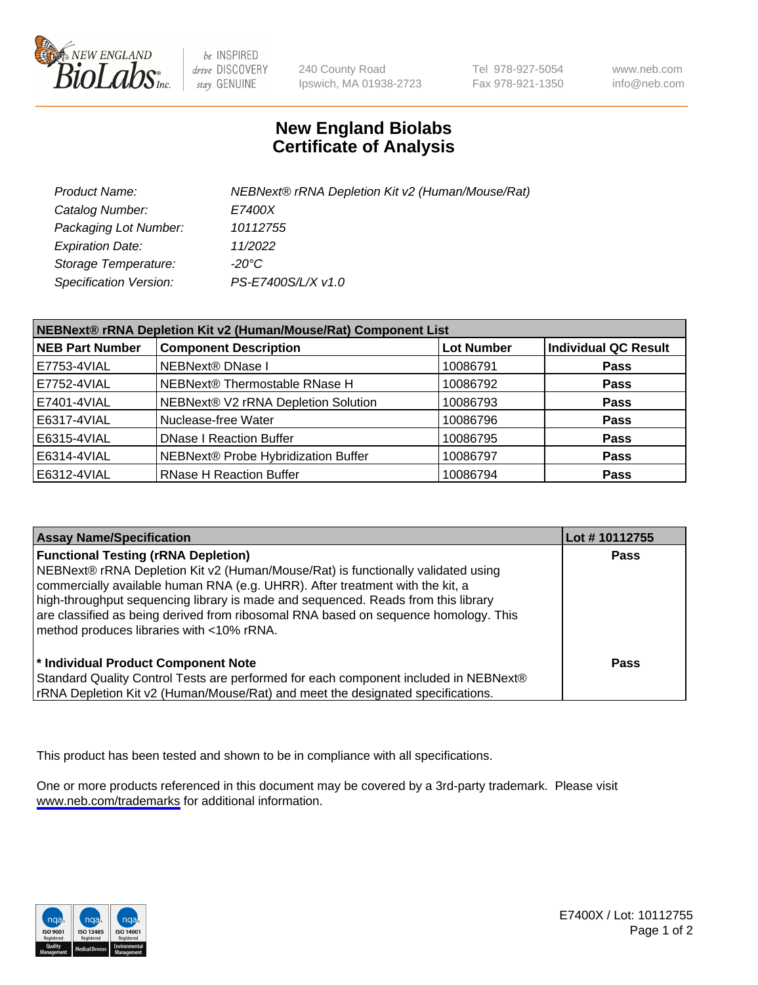

be INSPIRED drive DISCOVERY stay GENUINE

240 County Road Ipswich, MA 01938-2723 Tel 978-927-5054 Fax 978-921-1350

www.neb.com info@neb.com

## **New England Biolabs Certificate of Analysis**

| Product Name:                 | NEBNext® rRNA Depletion Kit v2 (Human/Mouse/Rat) |
|-------------------------------|--------------------------------------------------|
| Catalog Number:               | <i>E7400X</i>                                    |
| Packaging Lot Number:         | 10112755                                         |
| <b>Expiration Date:</b>       | 11/2022                                          |
| Storage Temperature:          | -20°C                                            |
| <b>Specification Version:</b> | PS-E7400S/L/X v1.0                               |

| NEBNext® rRNA Depletion Kit v2 (Human/Mouse/Rat) Component List |                                     |                   |                             |  |
|-----------------------------------------------------------------|-------------------------------------|-------------------|-----------------------------|--|
| <b>NEB Part Number</b>                                          | <b>Component Description</b>        | <b>Lot Number</b> | <b>Individual QC Result</b> |  |
| E7753-4VIAL                                                     | <b>NEBNext® DNase I</b>             | 10086791          | <b>Pass</b>                 |  |
| E7752-4VIAL                                                     | NEBNext® Thermostable RNase H       | 10086792          | <b>Pass</b>                 |  |
| E7401-4VIAL                                                     | NEBNext® V2 rRNA Depletion Solution | 10086793          | <b>Pass</b>                 |  |
| E6317-4VIAL                                                     | Nuclease-free Water                 | 10086796          | <b>Pass</b>                 |  |
| E6315-4VIAL                                                     | <b>DNase I Reaction Buffer</b>      | 10086795          | <b>Pass</b>                 |  |
| E6314-4VIAL                                                     | NEBNext® Probe Hybridization Buffer | 10086797          | <b>Pass</b>                 |  |
| E6312-4VIAL                                                     | <b>RNase H Reaction Buffer</b>      | 10086794          | <b>Pass</b>                 |  |

| <b>Assay Name/Specification</b>                                                                                                                                                                                                                                                                                                                                                                                                          | Lot #10112755 |
|------------------------------------------------------------------------------------------------------------------------------------------------------------------------------------------------------------------------------------------------------------------------------------------------------------------------------------------------------------------------------------------------------------------------------------------|---------------|
| <b>Functional Testing (rRNA Depletion)</b><br>NEBNext® rRNA Depletion Kit v2 (Human/Mouse/Rat) is functionally validated using<br>commercially available human RNA (e.g. UHRR). After treatment with the kit, a<br>high-throughput sequencing library is made and sequenced. Reads from this library<br>are classified as being derived from ribosomal RNA based on sequence homology. This<br>method produces libraries with <10% rRNA. | <b>Pass</b>   |
| * Individual Product Component Note<br>Standard Quality Control Tests are performed for each component included in NEBNext®<br>rRNA Depletion Kit v2 (Human/Mouse/Rat) and meet the designated specifications.                                                                                                                                                                                                                           | Pass          |

This product has been tested and shown to be in compliance with all specifications.

One or more products referenced in this document may be covered by a 3rd-party trademark. Please visit <www.neb.com/trademarks>for additional information.